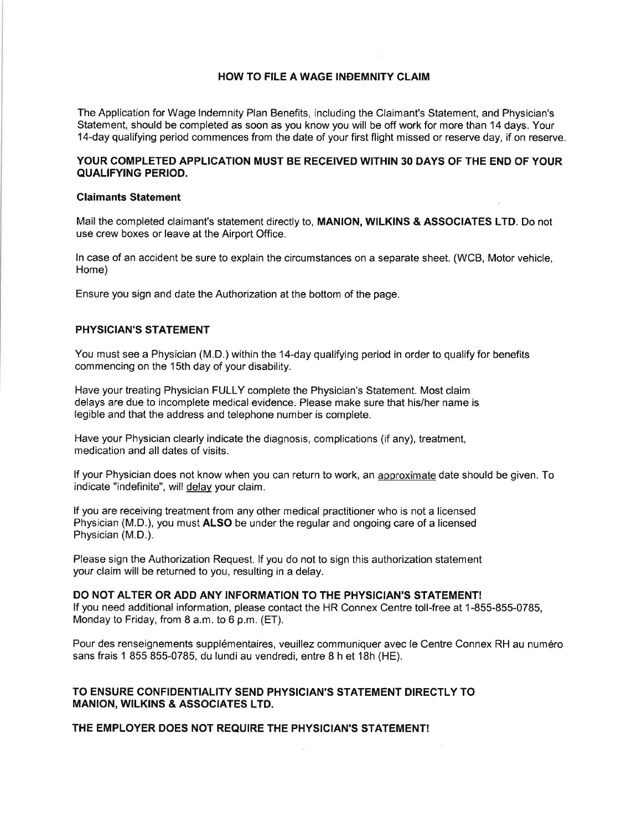# HOW TO FILE AWAGE INÐEMNITY CLAIM

The Application for Wage lndemnity Plan Benefits, including the Claimant's Statement, and Physician's Statement, should be completed as soon as you know you will be off work for more than 14 days. Your 14-day qualifying period commences from the date of your first flight missed or reserve day, if on reserve.

## YOUR COMPLETED APPLICATION MUST BE RECEIVED WITHIN 30 DAYS OF THE END OF YOUR QUALIFYING PERIOD.

#### Glaimants Statement

Mail the completed claimant's statement directly to, MANION, WILKINS & ASSOCIATES LTD. Do not use crew boxes or leave at the Airport Office.

ln case of an accident be sure to explain the circumstances on a separate sheet. (WCB, Motor vehicle, Home)

Ensure you sign and date the Authorization at the bottom of the page.

#### PHYSICIAN'S STATEMENT

You must see a Physician (M.D.) within the 14-day qualifying period in order to qualify for benefits commencing on the 1Sth day of your disability.

Have your treating Physician FULLY complete the Physician's Statement. Most claim delays are due to incomplete medical evidence. Please make sure that his/her name is legible and that the address and telephone number is complete.

Have your Physician clearly indicate the diagnosis, complications (if any), treatment, medication and all dates of visits.

lf your Physician does not know when you can return to work, an approximate date should be given. To indicate "indefinite", will delav your claim.

lf you are receiving treatment from any other medícal practitioner who is not a licensed Physician (M.D.), you must ALSO be under the regular and ongoing care of a licensed Physician (M.D.).

Please sign the Authorization Request. lf you do not to sign this authorization statement your claim will be returned to you, resulting in a delay.

## DO NOT ALTER OR ADD ANY INFORMATION TO THE PHYSICIAN'S STATEMENT!

lf you need additional information, please contact the HR Connex Centre toll-free at 1-855-855-0785, Monday to Friday, from B a.m. to 6 p.m. (ET).

Pour des renseignements supplémentaíres, veuillez communiquer avec le Centre Connex RH au numéro sans frais 1 855 855-0785, du lundi au vendredi, entre B h et 1Bh (HE).

## TO ENSURE CONFIDENTIALITY SEND PHYSICIAN'S STATEMENT DIRECTLY TO MANION, WILKINS & ASSOCIATES LTD.

#### THE EMPLOYER DOES NOT REQUIRE THE PHYSICIAN'S STATEMENT!